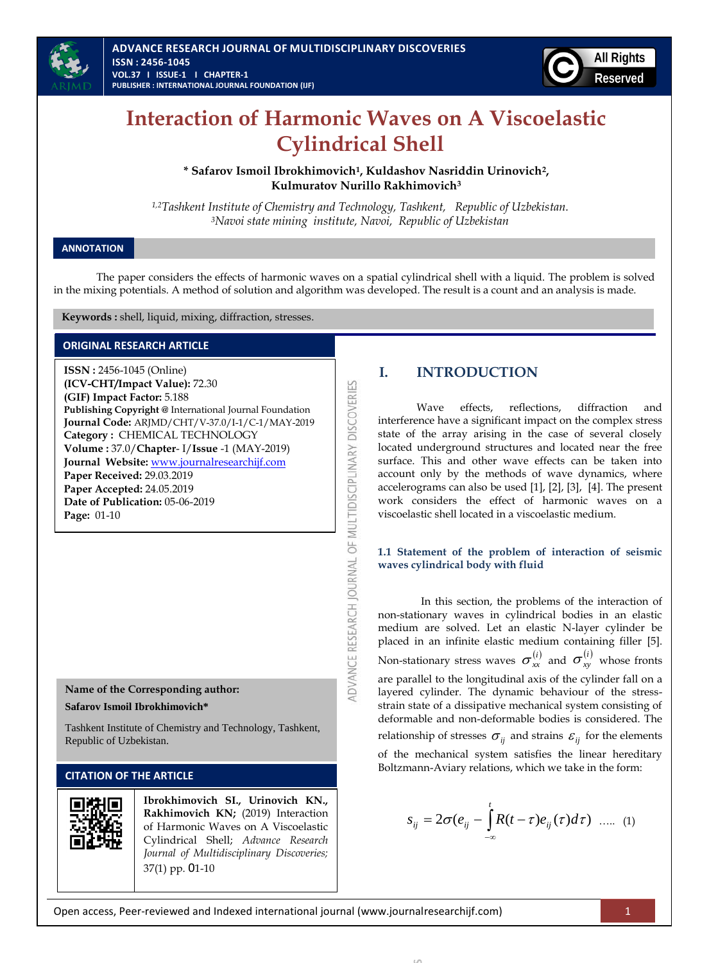



# **Interaction of Harmonic Waves on A Viscoelastic Cylindrical Shell**

**\* Safarov Ismoil Ibrokhimovich<sup>1</sup> , Kuldashov Nasriddin Urinovich<sup>2</sup> , Kulmuratov Nurillo Rakhimovich<sup>3</sup>**

*1,2Tashkent Institute of Chemistry and Technology, Tashkent, Republic of Uzbekistan. <sup>3</sup>Navoi state mining institute, Navoi, Republic of Uzbekistan*

# **ANNOTATION**

The paper considers the effects of harmonic waves on a spatial cylindrical shell with a liquid. The problem is solved in the mixing potentials. A method of solution and algorithm was developed. The result is a count and an analysis is made.

ADVANCE RESEARCH JOURNAL OF MULTIDISCIPLINARY DISCOVERIES

 **Keywords :** shell, liquid, mixing, diffraction, stresses.

# **ORIGINAL RESEARCH ARTICLE**

**ISSN :** 2456-1045 (Online) **(ICV-CHT/Impact Value):** 72.30 **(GIF) Impact Factor:** 5.188 **Publishing Copyright @** International Journal Foundation **Journal Code:** ARJMD/CHT/V-37.0/I-1/C-1/MAY-2019 **Category :** CHEMICAL TECHNOLOGY **Volume :** 37.0/**Chapter**- I/**Issue** -1 (MAY-2019) **Journal Website:** [www.journalresearchijf.com](http://www.journalresearchijf.com/) **Paper Received:** 29.03.2019 **Paper Accepted:** 24.05.2019 **Date of Publication:** 05-06-2019 **Page:** 01-10

# **Name of the Corresponding author:**

**Safarov Ismoil Ibrokhimovich\***

Tashkent Institute of Chemistry and Technology, Tashkent, Republic of Uzbekistan.

# **CITATION OF THE ARTICLE**



**Ibrokhimovich SI., Urinovich KN., Rakhimovich KN;** (2019) Interaction of Harmonic Waves on A Viscoelastic Cylindrical Shell; *Advance Research Journal of Multidisciplinary Discoveries;* 37(1) pp. 01-10

# **I. INTRODUCTION**

Wave effects, reflections, diffraction and interference have a significant impact on the complex stress state of the array arising in the case of several closely located underground structures and located near the free surface. This and other wave effects can be taken into account only by the methods of wave dynamics, where accelerograms can also be used [\[1\],](#page-9-0) [\[2\],](#page-9-1) [\[3\],](#page-9-2) [\[4\].](#page-9-3) The present work considers the effect of harmonic waves on a viscoelastic shell located in a viscoelastic medium.

# **1.1 Statement of the problem of interaction of seismic waves cylindrical body with fluid**

In this section, the problems of the interaction of non-stationary waves in cylindrical bodies in an elastic medium are solved. Let an elastic N-layer cylinder be placed in an infinite elastic medium containing filler [\[5\].](#page-9-4)  Non-stationary stress waves  $\sigma_{xx}^{(i)}$  and  $\sigma_{xy}^{(i)}$  whose fronts are parallel to the longitudinal axis of the cylinder fall on a layered cylinder. The dynamic behaviour of the stressstrain state of a dissipative mechanical system consisting of deformable and non-deformable bodies is considered. The relationship of stresses  $\sigma_{ij}$  and strains  $\varepsilon_{ij}$  for the elements of the mechanical system satisfies the linear hereditary Boltzmann-Aviary relations, which we take in the form:

$$
s_{ij} = 2\sigma(e_{ij} - \int_{-\infty}^{t} R(t-\tau)e_{ij}(\tau)d\tau) \ \ .... \ \ (1)
$$

**ADVANCE RESEARCH JOURNAL OF MULTIDISCIPLINARY DISCOVERIES**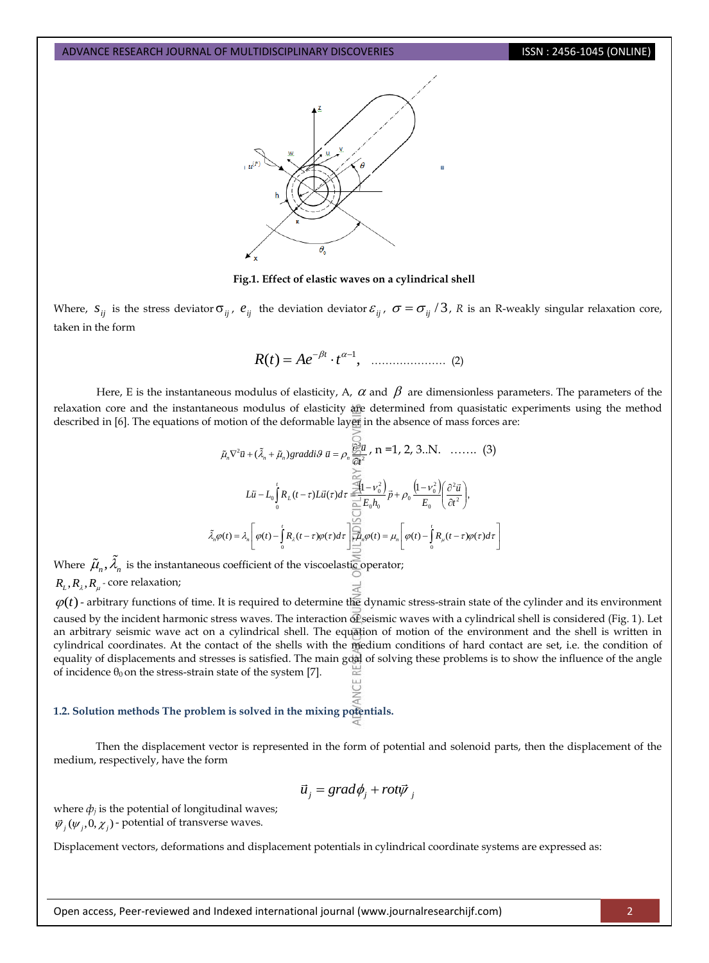

### **Fig.1. Effect of elastic waves on a cylindrical shell**

Where,  $s_{ij}$  is the stress deviator  $\sigma_{ij}$ ,  $e_{ij}$  the deviation deviator  $\varepsilon_{ij}$ ,  $\sigma = \sigma_{ij}/3$ , R is an R-weakly singular relaxation core, taken in the form

$$
R(t) = Ae^{-\beta t} \cdot t^{\alpha - 1}, \quad \dots \dots \dots \dots \dots \dots \quad (2)
$$

Here, E is the instantaneous modulus of elasticity, A,  $\alpha$  and  $\beta$  are dimensionless parameters. The parameters of the relaxation core and the instantaneous modulus of elasticity are determined from quasistatic experiments using the method described in [\[6\].](#page-9-5) The equations of motion of the deformable layer in the absence of mass forces are:

$$
\tilde{\mu}_n \nabla^2 \vec{u} + (\tilde{\lambda}_n + \tilde{\mu}_n) graddi\vartheta \ \vec{u} = \rho_n \frac{\partial^2 \vec{u}}{\partial t^2}, \ n = 1, 2, 3...N. \quad \dots \dots \quad (3)
$$
\n
$$
L\vec{u} - L_0 \int_0^t R_L(t - \tau) L\vec{u}(\tau) d\tau = \frac{\Xi(1 - \nu_0^2)}{\Xi} \vec{B} + \rho_0 \frac{(1 - \nu_0^2)}{E_0} \left(\frac{\partial^2 \vec{u}}{\partial t^2}\right),
$$
\n
$$
\tilde{\lambda}_n \varphi(t) = \lambda_n \left[\varphi(t) - \int_0^t R_{\lambda}(t - \tau) \varphi(\tau) d\tau\right] = \frac{\Xi(1 - \nu_0^2)}{\Xi} \varphi(t) = \mu_n \left[\varphi(t) - \int_0^t R_{\mu}(t - \tau) \varphi(\tau) d\tau\right]
$$

Where  $\tilde{\mu}_n, \lambda_n$  is the instantaneous coefficient of the viscoelastic operator;

# $R_{\rm\scriptscriptstyle L}, R_{\rm\scriptscriptstyle \lambda}, R_{\rm\scriptscriptstyle \mu}$  - core relaxation;

 $\varphi(t)$ - arbitrary functions of time. It is required to determine the dynamic stress-strain state of the cylinder and its environment caused by the incident harmonic stress waves. The interaction of seismic waves with a cylindrical shell is considered (Fig. 1). Let an arbitrary seismic wave act on a cylindrical shell. The equation of motion of the environment and the shell is written in cylindrical coordinates. At the contact of the shells with the medium conditions of hard contact are set, i.e. the condition of equality of displacements and stresses is satisfied. The main goal of solving these problems is to show the influence of the angle of incidence  $θ$ <sub>0</sub> on the stress-strain state of the syste[m \[7\].](#page-9-6)

### **1.2. Solution methods The problem is solved in the mixing potentials.**

Then the displacement vector is represented in the form of potential and solenoid parts, then the displacement of the medium, respectively, have the form

$$
\vec{u}_j = grad\phi_j + rot\vec{\psi}_j
$$

where  $\phi_i$  is the potential of longitudinal waves;  $\vec{\psi}_j(\psi_j, 0, \chi_j)$  - potential of transverse waves.

Displacement vectors, deformations and displacement potentials in cylindrical coordinate systems are expressed as: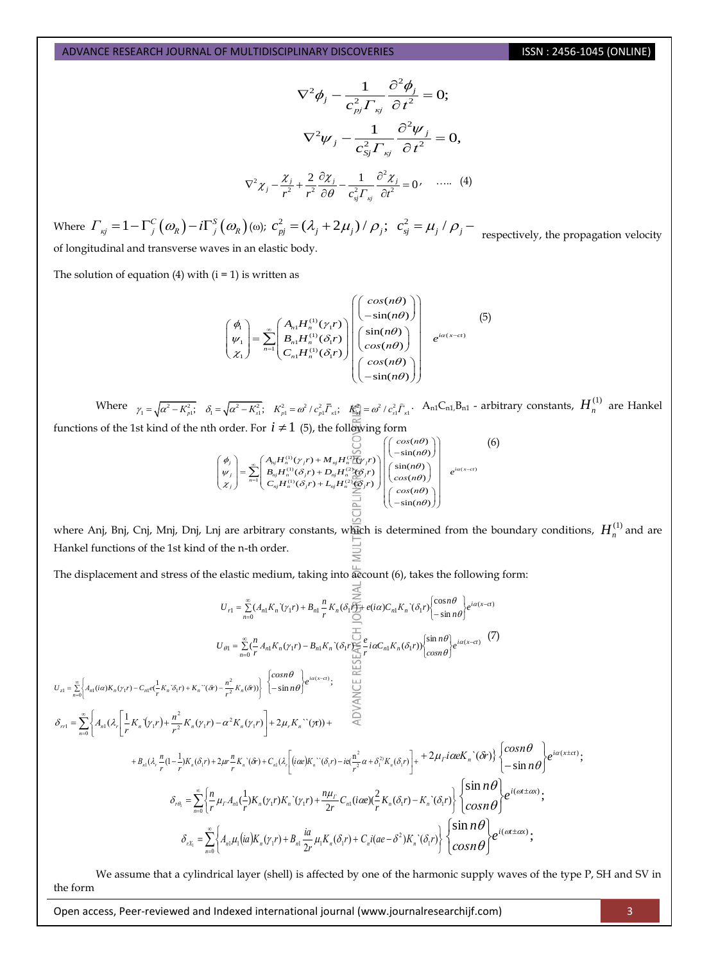$$
\nabla^2 \phi_j - \frac{1}{c_{pj}^2 \Gamma_{kj}} \frac{\partial^2 \phi_j}{\partial t^2} = 0;
$$

$$
\nabla^2 \psi_j - \frac{1}{c_{sj}^2 \Gamma_{kj}} \frac{\partial^2 \psi_j}{\partial t^2} = 0,
$$

$$
\nabla^2 \chi_j - \frac{\chi_j}{r^2} + \frac{2}{r^2} \frac{\partial \chi_j}{\partial \theta} - \frac{1}{c_{sj}^2 \Gamma_{kj}} \frac{\partial^2 \chi_j}{\partial t^2} = 0, \quad \dots \quad (4)
$$

Where  $\Gamma_{kj} = 1 - \Gamma_j^C(\omega_k) - i \Gamma_j^S(\omega_k)$  ( $\omega_j$ );  $c_{pj}^2 = (\lambda_j + 2\mu_j) / \rho_j$ ;  $c_{sj}^2 = \mu_j / \rho_j - \frac{1}{2}$  respectively, the propagation velocity of longitudinal and transverse waves in an elastic body.

The solution of equation (4) with  $(i = 1)$  is written as

$$
f(1)
$$
 is written as  
\n
$$
\begin{pmatrix} \phi_1 \\ \psi_1 \\ \chi_1 \end{pmatrix} = \sum_{n=1}^{\infty} \begin{pmatrix} A_{n1} H_n^{(1)}(\gamma_1 r) \\ B_{n1} H_n^{(1)}(\delta_1 r) \\ C_{n1} H_n^{(1)}(\delta_1 r) \end{pmatrix} \begin{pmatrix} cos(n\theta) \\ cos(n\theta) \\ cos(n\theta) \\ -sin(n\theta) \end{pmatrix} e^{i\alpha(x-ct)}
$$
\n
$$
\begin{pmatrix} 5 \\ 2 \\ cos(n\theta) \\ -sin(n\theta) \end{pmatrix}
$$

Where  $\gamma_1 = \sqrt{\alpha^2 - K_{p1}^2}$ ,  $\delta_1 = \sqrt{\alpha^2 - K_{s1}^2}$ ,  $K_{p1}^2 = \omega^2 / c_{s1}^2 \overline{\Gamma}_{\kappa 1}$ ,  $K_{\frac{\omega_1}{\omega}}^2 = \omega^2 / c_{s1}^2 \overline{\Gamma}_{\kappa 1}$ . An1C  $\begin{pmatrix} C_{s1}^2 \hat{F}_{\kappa 1} & A_{n1}C_{n1}B_{n1} - \text{arbitrary constants}, H_n^{(1)} & \text{are Hankel} \\ \text{form} \\ C_{s1}(m\theta) \\ -\sin(m\theta) \end{pmatrix}$  (6)

functions of the 1st kind of the nth order. For 
$$
i \neq 1
$$
 (5), the following form\n
$$
\begin{pmatrix}\n\phi_j \\
\psi_j \\
\chi_j\n\end{pmatrix} = \sum_{n=1}^{\infty} \begin{pmatrix}\nA_{nj}H_n^{(1)}(y_jr) + M_{nj}H_n^{(2)}(y_jr) \\
B_{nj}H_n^{(1)}(\delta_jr) + D_{nj}H_n^{(2)}(y_jr)\n\end{pmatrix} \begin{pmatrix}\n\cos(n\theta) \\
-\sin(n\theta) \\
\sin(n\theta) \\
\cos(n\theta)\n\end{pmatrix} e^{i\alpha(x-\epsilon t)}\n\begin{pmatrix}\n\phi_j \\
\chi_j\n\end{pmatrix}
$$

where Anj, Bnj, Cnj, Mnj, Dnj, Lnj are arbitrary constants, w<mark>hi</mark>ch is determined from the boundary conditions,  $H_n^{(1)}$  and are Hankel functions of the 1st kind of the n-th order.

The displacement and stress of the elastic medium, taking into account (6), takes the following form:

$$
U_{r1} = \sum_{n=0}^{\infty} (A_{n1}K_n \hat{v}_{r1}) + B_{n1} \sum_{r}^{n} K_n (\delta_1 \sum_{r}^{\infty} + e(i\alpha) C_{n1}K_n \hat{v}_{\sigma(r)}) \begin{cases} \cos n\theta \\ -\sin n\theta \end{cases} e^{i\alpha(x-\alpha)}
$$
\n
$$
U_{\theta1} = \sum_{n=0}^{\infty} \left( \sum_{r}^{n} A_{n1}K_n (v_1 r) - B_{n1}K_n \hat{v}_{\sigma(r)} \sum_{r}^{\infty} + i\alpha C_{n1}K_n (\delta_1 r) \right) \begin{cases} \sin n\theta \\ \cos n\theta \end{cases} e^{i\alpha(x-\alpha)} \quad (7)
$$
\n
$$
U_{r1} = \sum_{n=0}^{\infty} \left\{ A_{n1} (i\alpha) K_n (v_1 r) - C_{n1} \epsilon \left( \frac{1}{r} K_n \hat{v}_{r1} + K_n \hat{v}_{\sigma(r)} - \frac{n^2}{r^2} K_n (\hat{v}_{r}) \right) \right\} \quad \left\{ \begin{cases} \cos n\theta \\ -\sin n\theta \end{cases} e^{i\alpha(x-\alpha)} \quad \text{for } n \in \mathbb{N} \right\}
$$
\n
$$
\delta_{r1} = \sum_{n=0}^{\infty} \left\{ A_{n1} (\lambda_r \left[ \frac{1}{r} K_n (v_1 r) + \frac{n^2}{r^2} K_n (v_1 r) - \alpha^2 K_n (v_1 r) \right] + 2\mu_r K_n \hat{v}_{\sigma(r)} \right) + 2\mu_r K_n \hat{v}_{\sigma(r)} \quad \text{for } n \in \mathbb{N} \right\}
$$
\n
$$
\delta_{r\theta_1} = \sum_{n=0}^{\infty} \left\{ \frac{n}{r} \mu_r A_{n1} (\frac{1}{r}) K_n (v_1 r) K_n \hat{v}_{\sigma(r)} - i\alpha \left( \frac{[i\alpha\epsilon]K_n \hat{v}_{\sigma(r)} - i\alpha \left( \frac{n^2}{r^2} \alpha + \delta_1^2 K_n (\delta_r r) \right) \right] + 2\mu_r i\alpha \epsilon K_n \hat{v}_{\sigma(r)} \right\} \left\{ \begin{cases} \cos n\theta \\ -\sin n
$$

We assume that a cylindrical layer (shell) is affected by one of the harmonic supply waves of the type P, SH and SV in the form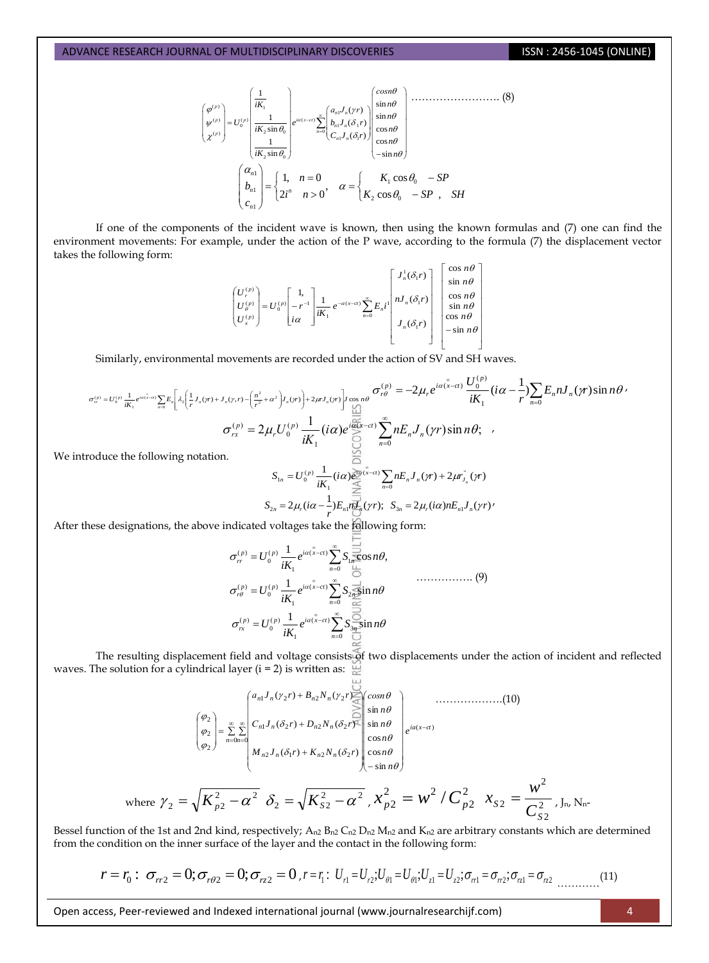$$
\begin{pmatrix}\n\varphi^{(p)} \\
\psi^{(p)} \\
\chi^{(p)}\n\end{pmatrix} = U_0^{(p)} \begin{pmatrix}\n\frac{1}{iK_1} \\
\frac{1}{iK_2 \sin \theta_0} \\
\frac{1}{iK_2 \sin \theta_0}\n\end{pmatrix} e^{i\alpha(x-ct)} \sum_{n=0}^{\infty} \begin{pmatrix}\na_{n}J_n(\gamma r) \\
b_{n}J_n(\delta_1 r) \\
c_{n}J_n(\delta_1 r)\n\end{pmatrix} \begin{pmatrix}\n\sin n\theta \\
\sin n\theta \\
\cos n\theta \\
\cos n\theta\n\end{pmatrix}
$$
\n
$$
\begin{pmatrix}\n\alpha_{n1} \\
b_{n1} \\
c_{n1}\n\end{pmatrix} = \begin{cases}\n1, & n = 0 \\
2i^n & n > 0\n\end{cases}, & \alpha = \begin{cases}\nK_1 \cos \theta_0 & -SP \\
K_2 \cos \theta_0 & -SP\n\end{cases}, \text{ SH}
$$

If one of the components of the incident wave is known, then using the known formulas and (7) one can find the environment movements: For example, under the action of the P wave, according to the formula (7) the displacement vector takes the following form:

$$
\begin{pmatrix} U_r^{(p)} \\ U_\rho^{(p)} \\ U_s^{(p)} \end{pmatrix} = U_0^{(p)} \begin{bmatrix} 1 \\ -r^{-1} \\ i\alpha \end{bmatrix} \frac{1}{iK_1} e^{-\alpha(x-\alpha)} \sum_{n=0}^\infty E_n i \begin{bmatrix} J_n^1(\delta_1 r) \\ nJ_n(\delta_1 r) \\ \sin n\theta \\ J_n(\delta_1 r) \\ -\sin n\theta \\ -\sin n\theta \end{bmatrix} \begin{bmatrix} \cos n\theta \\ \sin n\theta \\ \sin n\theta \\ \cos n\theta \\ -\sin n\theta \end{bmatrix}
$$

Similarly, environmental movements are recorded under the action of SV and SH waves.

$$
\sigma_{rr}^{(p)} = U_0^{(p)} \frac{1}{iK_1} e^{i\alpha(\bar{x}-\alpha)} \sum_{n=0}^{\infty} E_n \left[ \lambda_2 \left( \frac{1}{r} J_n(\gamma r) + J_n(\gamma r) - \left( \frac{n^2}{r^2} + \alpha^2 \right) J_n(\gamma r) \right) + 2\mu J_n(\gamma r) \right] \underset{\text{odd}}{\text{cos } n\theta} \sigma_{r\theta}^{(p)} = -2\mu_r e^{i\alpha(\bar{x}-\alpha)} \frac{U_0^{(p)}}{iK_1} (i\alpha - \frac{1}{r}) \sum_{n=0}^{\infty} E_n n J_n(\gamma r) \sin n\theta
$$
\n
$$
\sigma_{rx}^{(p)} = 2\mu_r U_0^{(p)} \frac{1}{iK_1} (i\alpha) e^{\frac{i\alpha(\bar{x}-\alpha)}{\sqrt{2}} \sum_{n=0}^{\infty} n E_n J_n(\gamma r) \sin n\theta; \quad ,
$$
\ntrroduce the following notation.

We int

where

$$
S_{1n} = U_0^{(p)} \frac{1}{iK_1} (i\alpha) \sum_{n=0}^{\infty} \sum_{n=0}^{\infty} nE_n J_n(\gamma r) + 2\mu r_{J_n}(\gamma r)
$$
  

$$
S_{2n} = 2\mu_r (i\alpha - \frac{1}{r}) E_{n,l} \frac{1}{i\sigma_r} (\gamma r); \quad S_{3n} = 2\mu_r (i\alpha) n E_{n,l} J_n(\gamma r)'
$$

After these designations, the above indicated voltages take the following form:

$$
\sigma_r^{(p)} = U_0^{(p)} \frac{1}{iK_1} e^{i\alpha(\tilde{x}-ct)} \sum_{n=0}^{\infty} S_{1n} \overline{\sum_{i=0}^{n}} \cos n\theta,
$$
  
\n
$$
\sigma_r^{(p)} = U_0^{(p)} \frac{1}{iK_1} e^{i\alpha(\tilde{x}-ct)} \sum_{n=0}^{\infty} S_{2n} \overline{\sum_{i=0}^{n}} \sin n\theta
$$
  
\n
$$
\sigma_{rx}^{(p)} = U_0^{(p)} \frac{1}{iK_1} e^{i\alpha(\tilde{x}-ct)} \sum_{n=0}^{\infty} S_{3n} \overline{\sum_{i=0}^{n}} \sin n\theta
$$

The resulting displacement field and voltage consists of two displacements under the action of incident and reflected waves. The solution for a cylindrical layer ( $i = 2$ ) is written as:  $\Box$ 

$$
\begin{pmatrix}\n\varphi_{2} \\
\varphi_{2} \\
\varphi_{2}\n\end{pmatrix} = \sum_{n=0}^{\infty} \sum_{n=0}^{\infty} \begin{pmatrix}\na_{n1}J_{n}(\gamma_{2}r) + B_{n2}N_{n}(\gamma_{2}r) - \sin \theta \\
C_{n1}J_{n}(\delta_{2}r) + D_{n2}N_{n}(\delta_{2}r)\n\end{pmatrix} \begin{pmatrix}\n\cos n\theta \\
\sin n\theta \\
\sin n\theta \\
\cos n\theta \\
-\sin n\theta\n\end{pmatrix} e^{ia(x-ct)}.
$$
\n
$$
\gamma_{2} = \sqrt{K_{p2}^{2} - \alpha^{2}} \delta_{2} = \sqrt{K_{s2}^{2} - \alpha^{2}} \gamma_{s2}^{2} - \alpha^{2} \gamma_{p2}^{2} = W^{2} / C_{p2}^{2} \gamma_{s2} = \frac{W^{2}}{C_{s2}^{2}} \gamma_{\text{In}} N_{\text{n}}.
$$

Bessel function of the 1st and 2nd kind, respectively;  $A_{n2} B_{n2} C_{n2} D_{n2} M_{n2}$  and  $K_{n2}$  are arbitrary constants which are determined from the condition on the inner surface of the layer and the contact in the following form:

$$
r = r_0: \sigma_{r2} = 0; \sigma_{r\theta 2} = 0; \sigma_{rz 2} = 0, r = r_1: U_{r1} = U_{r2}; U_{\theta 1} = U_{\theta 1}; U_{z1} = U_{z2}; \sigma_{r1} = \sigma_{r2}; \sigma_{r2} = \sigma_{r2} \dots \dots \dots (11)
$$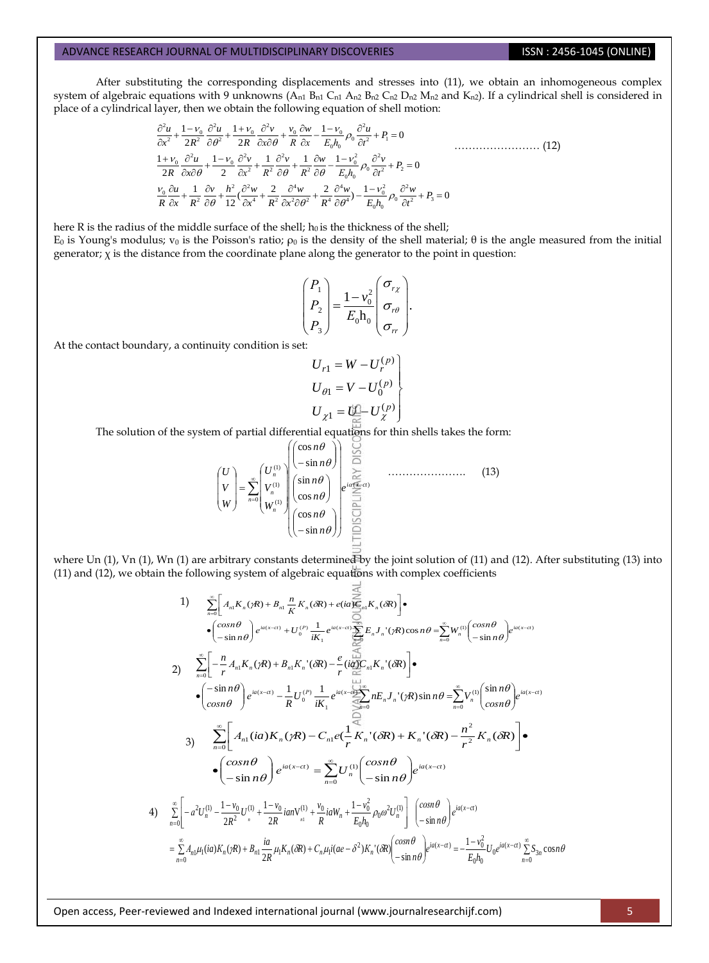After substituting the corresponding displacements and stresses into (11), we obtain an inhomogeneous complex system of algebraic equations with 9 unknowns  $(A_{n1} B_{n1} C_{n1} A_{n2} B_{n2} C_{n2} D_{n2} M_{n2}$  and  $K_{n2}$ ). If a cylindrical shell is considered in system of algebraic equations with 9 unknowns (A<sub>n1</sub> B<sub>n1</sub> C<sub>n1</sub> A<sub>n2</sub> B<sub>n2</sub> C<sub>n2</sub> D<sub>n2</sub> M<sub>n2</sub><br>place of a cylindrical layer, then we obtain the following equation of shell motion:<br> $\frac{\partial^2 u}{\partial t^2} + \frac{1 - v_0}{2R^2} \frac{\partial^2 u}{\partial t$ ations with 9 unknowns (A<sub>n1</sub> B<sub>n1</sub> C<sub>n1</sub> A<sub>n2</sub> B<sub>n2</sub> C<br> *u e*<sub>1</sub>  $1 - V_0$  *o*<sup>2</sup>*u*  $+ 1 + V_0$  *o*<sup>2</sup>*v*  $+ V_0$  *o*<sup>2</sup>*v*  $+ V_0$  *o*<sup>2</sup>*v*  $+ V_0$  *o*<sup>2</sup>*v n*<sub>2</sub> *o*<sub>2</sub> *o*<sub>2</sub> *a*<sub>2</sub> *e*<sub>2</sub> *a*<sub>2</sub> *e*<sub>2</sub> *a*<sub>2</sub> *e*<sub>2</sub> s with 9 unknowns (A<sub>n1</sub> B<sub>n1</sub> C<sub>n1</sub> A<sub>n2</sub> B<sub>n2</sub> composed the following equation of s<br>  $\frac{v_0}{2} \frac{\partial^2 u}{\partial x^2} + \frac{1 + v_0}{2} \frac{\partial^2 v}{\partial x^2} + \frac{v_0}{2} \frac{\partial w}{\partial x} - \frac{1 - v_0}{2} \rho_0 \frac{\partial^2 u}{\partial x^2} + i$ 

equations with 9 unknowns (A<sub>n1</sub> B<sub>n1</sub> C<sub>n1</sub> A<sub>n2</sub> B<sub>n2</sub> C<sub>n2</sub> D<sub>n2</sub> M<sub>n2</sub> and K<sub>n2</sub>). If a cylindrical  
\nlayer, then we obtain the following equation of shell motion:  
\n
$$
\frac{\partial^2 u}{\partial x^2} + \frac{1 - v_0}{2R^2} \frac{\partial^2 u}{\partial \theta^2} + \frac{1 + v_0}{2R} \frac{\partial^2 v}{\partial x \partial \theta} + \frac{v_0}{R} \frac{\partial w}{\partial x} - \frac{1 - v_0}{E_0 h_0} \rho_0 \frac{\partial^2 u}{\partial t^2} + P_1 = 0
$$
\n
$$
\frac{1 + v_0}{2R} \frac{\partial^2 u}{\partial x \partial \theta} + \frac{1 - v_0}{2} \frac{\partial^2 v}{\partial x^2} + \frac{1}{R^2} \frac{\partial^2 v}{\partial \theta} + \frac{1}{R^2} \frac{\partial w}{\partial \theta} - \frac{1 - v_0^2}{E_0 h_0} \rho_0 \frac{\partial^2 v}{\partial t^2} + P_2 = 0
$$
\n
$$
\frac{v_0}{R} \frac{\partial u}{\partial x} + \frac{1}{R^2} \frac{\partial v}{\partial \theta} + \frac{h^2}{12} (\frac{\partial^2 w}{\partial x^4} + \frac{2}{R^2} \frac{\partial^4 w}{\partial x^2 \partial \theta^2} + \frac{2}{R^4} \frac{\partial^4 w}{\partial \theta^4}) - \frac{1 - v_0^2}{E_0 h_0} \rho_0 \frac{\partial^2 w}{\partial t^2} + P_3 = 0
$$
\n(12)

here R is the radius of the middle surface of the shell;  $h_0$  is the thickness of the shell;  $E_0$  is Young's modulus;  $ν_0$  is the Poisson's ratio;  $ρ_0$  is the density of the shell material; θ is the angle measured from the initial generator;  $\chi$  is the distance from the coordinate plane along the generator to the point in question:

$$
\begin{pmatrix} P_1 \\ P_2 \\ P_3 \end{pmatrix} = \frac{1 - v_0^2}{E_0 \mathbf{h}_0} \begin{pmatrix} \sigma_{r\chi} \\ \sigma_{r\theta} \\ \sigma_{rr} \end{pmatrix}.
$$

At the contact boundary, a continuity condition is set:

$$
U_{r1} = W - U_r^{(p)}
$$
  
\n
$$
U_{\theta1} = V - U_0^{(p)}
$$
  
\n
$$
U_{\chi1} = U_{\text{ex}}^{(p)} - U_{\chi}^{(p)}
$$

The solution of the system of partial differential equations for thin shells takes the form:

$$
\begin{pmatrix} U \\ V \\ W \end{pmatrix} = \sum_{n=0}^{\infty} \begin{pmatrix} U_n^{(1)} \\ V_n^{(1)} \\ W_n^{(1)} \end{pmatrix} \begin{pmatrix} \cos n\theta \\ -\sin n\theta \\ \sin n\theta \\ \cos n\theta \end{pmatrix} e^{i\frac{\cos n\theta}{\cos n\theta}} \dots \dots \dots \dots \dots \dots \dots \dots \quad (13)
$$
\n
$$
\begin{pmatrix} \cos n\theta \\ \cos n\theta \\ \cos n\theta \end{pmatrix} = \begin{pmatrix} \cos n\theta \\ \sin n\theta \\ \sin n\theta \end{pmatrix}
$$

where Un  $(1)$ , Vn  $(1)$ , Wn  $(1)$  are arbitrary constants determined by the joint solution of  $(11)$  and  $(12)$ . After substituting  $(13)$  into (11) and (12), we obtain the following system of algebraic equations with complex coefficients

1) 
$$
\sum_{n=0}^{\infty} \left[ A_n K_n(\gamma R) + B_{n1} \frac{n}{K} K_n(\delta R) + e(i\alpha \overbrace{\Theta_n} n K_n(\delta R)) \right] \cdot
$$
  
\n
$$
\sum_{n=0}^{\infty} \left[ -\frac{\cos n\theta}{-\sin n\theta} \right] e^{i\alpha(x-\alpha)} + U_0^{(P)} \frac{1}{iK_1} e^{i\alpha(x-\alpha)} \sum_{n=0}^{\infty} E_n J_n'(\gamma R) \cos n\theta = \sum_{n=0}^{\infty} W_n^{(1)} \left( \frac{\cos n\theta}{-\sin n\theta} \right) e^{i\alpha(x-\alpha)}
$$
  
\n2) 
$$
\sum_{n=0}^{\infty} \left[ -\frac{n}{r} A_{n1} K_n(\gamma R) + B_{n1} K_n'(\delta R) - \frac{e}{r} \frac{(i\alpha)}{\omega} C_{n1} K_n'(\delta R) \right] \cdot
$$
  
\n
$$
\sum_{n=0}^{\infty} \left[ -\frac{n}{r} A_{n1} K_n(\gamma R) + B_{n1} K_n'(\delta R) - \frac{e}{r} \frac{(i\alpha)^n}{\omega} C_{n1} K_n'(\delta R) \right] \cdot
$$
  
\n
$$
\sum_{n=0}^{\infty} \left[ A_{n1} (i\alpha) K_n(\gamma R) - C_{n1} e \left( \frac{1}{r} K_n'(\delta R) + K_n'(\delta R) - \frac{n^2}{r^2} K_n(\delta R) \right] \right] \cdot
$$
  
\n
$$
\sum_{n=0}^{\infty} \left[ A_{n1} (i\alpha) K_n(\gamma R) - C_{n1} e \left( \frac{1}{r} K_n'(\delta R) + K_n'(\delta R) - \frac{n^2}{r^2} K_n(\delta R) \right] \right] \cdot
$$
  
\n
$$
\sum_{n=0}^{\infty} \left[ -a^2 U_n^{(1)} - \frac{1 - v_0}{2R^2} U_n^{(1)} + \frac{1 - v_0}{2R} i a n V_n^{(1)} + \frac{v_0}{R} i a W_n + \frac{1 - v_0^2}{E_0 h_0} \rho_0 \omega^2 U_n^{(1)} \right] \cdot \left( \frac{\cos n\theta}{-\sin n\theta} \right) e^{i
$$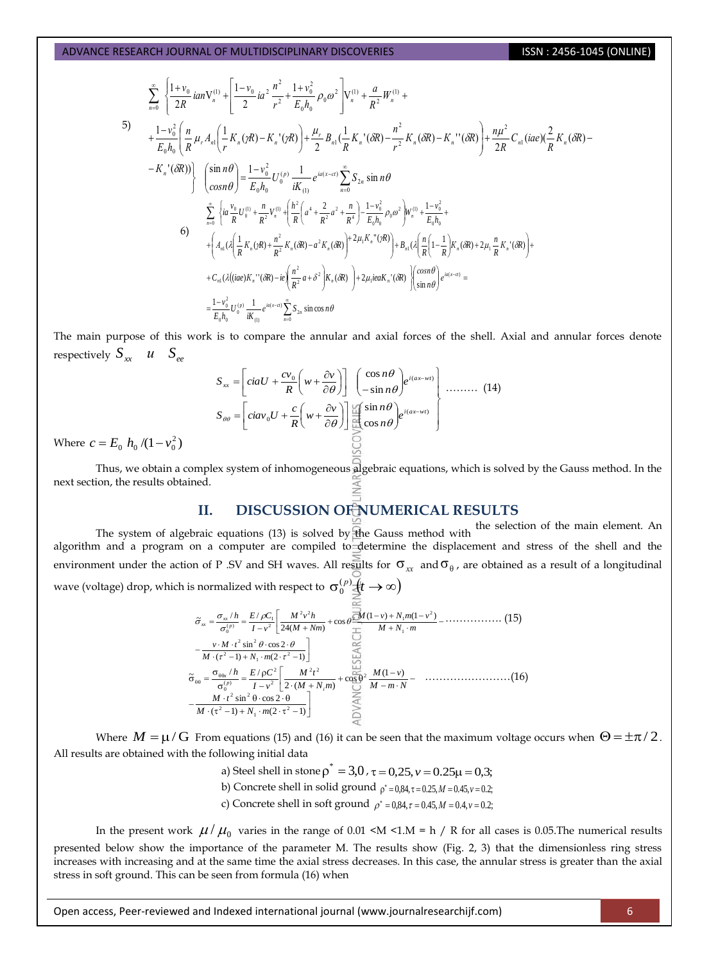$\sqrt{2}$ 

$$
\sum_{n=0}^{\infty} \left\{ \frac{1+v_0}{2R} i a n V_n^{(1)} + \left[ \frac{1-v_0}{2} i a^2 \frac{n^2}{r^2} + \frac{1+v_0^2}{E_0 h_0} \rho_0 a^2 \right] V_n^{(1)} + \frac{a}{R^2} W_n^{(1)} + \frac{a}{R^2} W_n^{(1)}
$$
\n
$$
+ \frac{1-v_0^2}{E_0 h_0} \left( \frac{n}{R} \mu_r A_n \right) \left( \frac{1}{r} K_n (\gamma R) - K_n' (\gamma R) \right) + \frac{\mu_r}{2} B_{n1} \left( \frac{1}{R} K_n' (\delta R) - \frac{n^2}{r^2} K_n (\delta R) - K_n'' (\delta R) \right) + \frac{n \mu^2}{2R} C_{n1} (i a e) \left( \frac{2}{R} K_n (\delta R) - K_n'' (\delta R) \right)
$$
\n
$$
- K_n' (\delta R)) \right\} \left\{ \left( \frac{\sin n \theta}{\cos n \theta} \right) = \frac{1-v_0^2}{E_0 h_0} U_0^{(r)} \frac{1}{i K_{(1)}} e^{i a (x-\alpha)} \sum_{n=0}^{\infty} S_{2n} \sin n \theta
$$
\n
$$
\sum_{n=0}^{\infty} \left\{ i a \frac{v_0}{R} U_0^{(1)} + \frac{n}{R^2} V_n^{(1)} + \left( \frac{h^2}{R} \left( a^4 + \frac{2}{R^2} a^2 + \frac{n}{R^4} \right) - \frac{1-v_0^2}{E_0 h_0} \rho_0 a^2 \right) W_n^{(1)} + \frac{1-v_0^2}{E_0 h_0} + \frac{1}{E_0 h_0} + \frac{1}{E_0 h_0} \left( \frac{h}{R} \left( 1 - \frac{1}{R} \right) K_n (\delta R) + 2 \mu_1 \frac{n}{R} K_n' (\delta R) \right) + \frac{1}{E_0 h_0} (A_{n1} \left( \frac{n}{R} \left( 1 - \frac{1}{R} \right) K_n (\delta R) + 2 \mu_1 \frac{n}{R} K_n' (\delta R) \right) + C_{n1} (\lambda (i a e) K_n'' (\delta R) - i e \left( \frac{n^2
$$

The main purpose of this work is to compare the annular and axial forces of the shell. Axial and annular forces denote respectively  $S_{xx}$  *u*  $S_{ee}$ 

$$
S_{xx} = \left[ ciaU + \frac{cv_0}{R} \left( w + \frac{\partial v}{\partial \theta} \right) \right] \begin{pmatrix} \cos n\theta \\ -\sin n\theta \end{pmatrix} e^{i(\alpha x - w t)} \begin{pmatrix} \dots \dots \dots \dots \tag{14} \\ \cos n\theta \end{pmatrix}
$$

Where  $c = E_0 h_0 / (1 - v_0^2)$ 

Thus, we obtain a complex system of inhomogeneous algebraic equations, which is solved by the Gauss method. In the next section, the results obtained.

# **II. DISCUSSION OF NUMERICAL RESULTS**

The system of algebraic equations (13) is solved by the Gauss method with the selection of the main element. An algorithm and a program on a computer are compiled to determine the displacement and stress of the shell and the environment under the action of P .SV and SH waves. All results for  $\sigma_{xx}$  and  $\sigma_{\theta}$ , are obtained as a result of a longitudinal wave (voltage) drop, which is normalized with respect to  $\sigma_0^{(p)}$  $\sigma_0^{(p)}(t \to \infty)$ 

 ( 1) (2 1) sin cos 2 (1 ) (1 ) cos 24( ) ~ / / 2 1 2 2 2 1 2 2 1 2 2 2 1 ( ) 0 *M N m v M t M N m M v N m v M Nm M v h I v h E C p xx xx* ……………. (15) ( 1) (2 1) sin cos 2 (1 ) cos 2 ( ) ~ / / 2 1 2 2 2 2 2 2 2 2 ( ) 0 *M N m M t M m N M v M N m M t I v h E C i p x* ……………………(16)

Where  $M = \mu/G$  From equations (15) and (16) it can be seen that the maximum voltage occurs when  $\Theta = \pm \pi/2$ . All results are obtained with the following initial data

a) Steel shell in stone  $\rho^* = 3.0$  ,  $\tau = 0.25$ ,  $\nu = 0.25\mu = 0.3$ ;

b) Concrete shell in solid ground  $p^* = 0.84$ ,  $\tau = 0.25$ ,  $M = 0.45$ ,  $v = 0.2$ ;

c) Concrete shell in soft ground  $\rho^* = 0.84$ ,  $\tau = 0.45$ ,  $M = 0.4$ ,  $\nu = 0.2$ ;

In the present work  $\mu/\mu_0$  varies in the range of 0.01 <M <1.M = h / R for all cases is 0.05.The numerical results presented below show the importance of the parameter M. The results show (Fig. 2, 3) that the dimensionless ring stress increases with increasing and at the same time the axial stress decreases. In this case, the annular stress is greater than the axial stress in soft ground. This can be seen from formula (16) when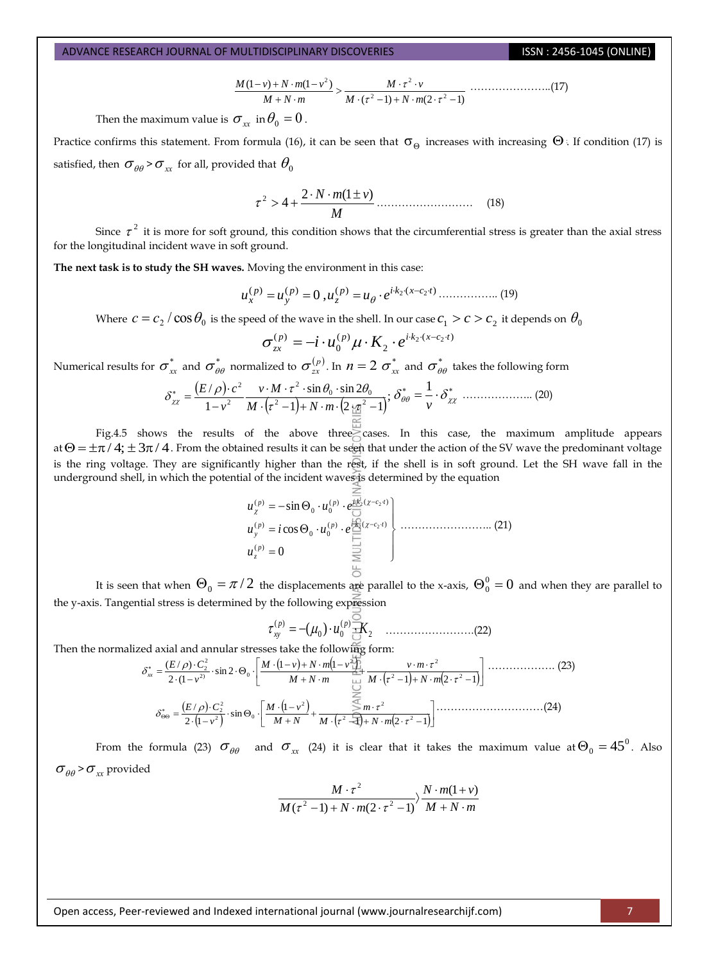$$
\frac{M(1-\nu)+N\cdot m(1-\nu^{2})}{M+N\cdot m} > \frac{M\cdot \tau^{2}\cdot \nu}{M\cdot (\tau^{2}-1)+N\cdot m(2\cdot \tau^{2}-1)} \dots (17)
$$

Then the maximum value is  $\sigma_{\rm xx}^{\phantom{\dag}}$  in  $\theta_{\rm 0}^{\phantom{\dag}}$  =  $0$  .

Practice confirms this statement. From formula (16), it can be seen that  $\sigma_\Theta$  increases with increasing  $\Theta$ . If condition (17) is satisfied, then  $\sigma_{\theta\theta}$ > $\sigma_{_{\mathit{XX}}}$  for all, provided that  $\theta_{_{\scriptstyle{0}}}$ 

$$
\tau^2 > 4 + \frac{2 \cdot N \cdot m(1 \pm \nu)}{M} \dots \dots \dots \dots \dots \dots \dots \quad (18)
$$

Since  $\tau^2$  it is more for soft ground, this condition shows that the circumferential stress is greater than the axial stress for the longitudinal incident wave in soft ground.

**The next task is to study the SH waves.** Moving the environment in this case:

$$
u_x^{(p)} = u_y^{(p)} = 0, u_z^{(p)} = u_\theta \cdot e^{ik_2(x - c_2 t)} \dots \dots \dots \dots \dots \dots \tag{19}
$$

Where  $c=c_2/\cos\theta_0$  is the speed of the wave in the shell. In our case  $c_1>c>c_2$  it depends on  $\theta_0$ 

$$
\sigma_{zx}^{(p)} = -i \cdot u_0^{(p)} \mu \cdot K_2 \cdot e^{i \cdot k_2 \cdot (x - c_2 \cdot t)}
$$

Numerical results for  $\sigma^*_{xx}$  and  $\sigma^*_{\theta\theta}$  normalized to  $\sigma^{(p)}_{zx}$ . In  $n=2$   $\sigma^*_{xx}$  and  $\sigma^*_{\theta\theta}$  takes the following form

$$
\delta_{zx}^* = \frac{(E/\rho) \cdot c^2}{1 - v^2} \frac{v \cdot M \cdot \tau^2 \cdot \sin \theta_0 \cdot \sin 2\theta_0}{M \cdot (\tau^2 - 1) + N \cdot m \cdot (2 \cdot \frac{\tau \cdot \tau^2}{\sigma^2} - 1)}; \delta_{\theta\theta}^* = \frac{1}{v} \cdot \delta_{zx}^* \dots
$$
 (20)

Fig.4.5 shows the results of the above three cases. In this case, the maximum amplitude appears at  $\Theta = \pm \pi/4$ ;  $\pm 3\pi/4$ . From the obtained results it can be seen that under the action of the SV wave the predominant voltage is the ring voltage. They are significantly higher than the rest, if the shell is in soft ground. Let the SH wave fall in the underground shell, in which the potential of the incident waves is determined by the equation

$$
u_{\chi}^{(p)} = -\sin \Theta_0 \cdot u_0^{(p)} \cdot e^{\frac{\pi}{162}( \chi - c_2 \cdot t)} u_{\chi}^{(p)} = i \cos \Theta_0 \cdot u_0^{(p)} \cdot e^{\frac{\pi}{162}( \chi - c_2 \cdot t)} u_{z}^{(p)} = 0
$$
 (21)

It is seen that when  $\Theta_0=\pi/2$  the displacements are parallel to the x-axis,  $\Theta_0^0=0$  and when they are parallel to the y-axis. Tangential stress is determined by the following expression

2 ( ) 0 0 ( ) ( ) *u K p p xy* …………………….(22)

Then the normalized axial and annular stresses take the following form:

$$
\delta_{xx}^{*} = \frac{(E/\rho) \cdot C_{2}^{2}}{2 \cdot (1 - v^{2})} \cdot \sin 2 \cdot \Theta_{0} \cdot \left[ \frac{M \cdot (1 - v) + N \cdot m(1 - v^{2}))}{M + N \cdot m} + \frac{v \cdot m \cdot \tau^{2}}{M \cdot (\tau^{2} - 1) + N \cdot m(2 \cdot \tau^{2} - 1)} \right] \dots \dots \dots \dots \dots \dots \tag{23}
$$
\n
$$
\delta_{\Theta\Theta}^{*} = \frac{(E/\rho) \cdot C_{2}^{2}}{2 \cdot (1 - v^{2})} \cdot \sin \Theta_{0} \cdot \left[ \frac{M \cdot (1 - v^{2})}{M + N} + \frac{\sum_{i=1}^{N} m \cdot \tau^{2}}{M \cdot (\tau^{2} - 1) + N \cdot m(2 \cdot \tau^{2} - 1)} \right] \dots \dots \dots \dots \dots \dots \dots \dots \tag{24}
$$

From the formula (23)  $\sigma_{\theta\theta}$  and  $\sigma_{xx}$  (24) it is clear that it takes the maximum value at  $\Theta_0 = 45^0$ . Also  $\sigma_{\theta\theta}$ > $\sigma_{\textit{\tiny{xx}}}$  provided

$$
\frac{M\cdot\tau^2}{M(\tau^2-1)+N\cdot m(2\cdot\tau^2-1)}\frac{N\cdot m(1+\nu)}{M+N\cdot m}
$$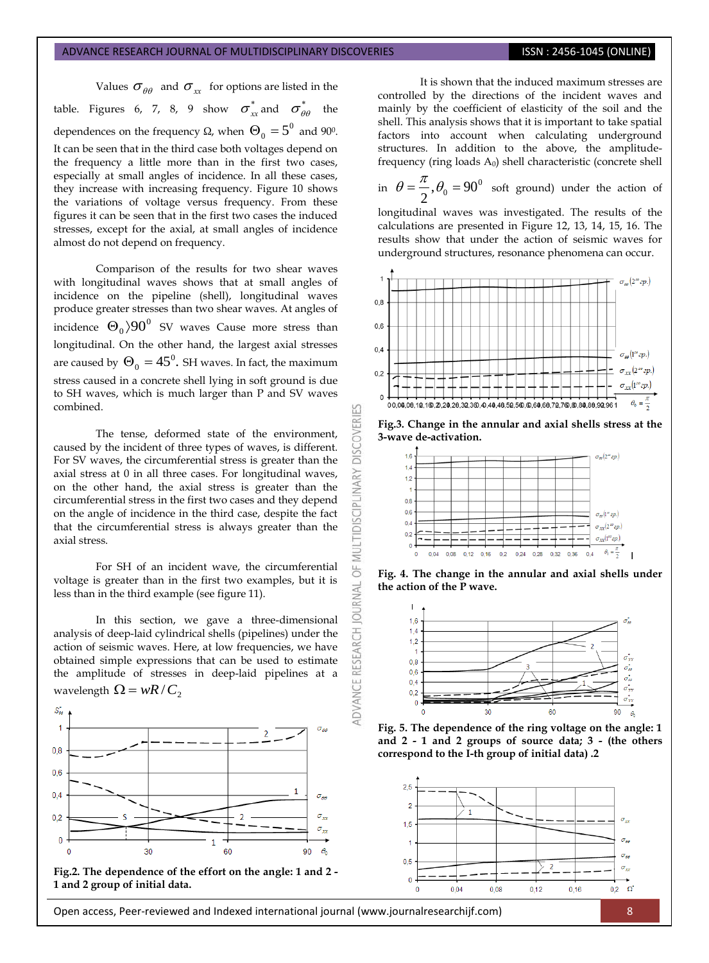Values  $\sigma_{\theta\theta}$  and  $\sigma_{xx}$  for options are listed in the table. Figures 6, 7, 8, 9 show  $\sigma_{xx}^*$  and  $\sigma_{\theta\theta}^*$  the dependences on the frequency  $\Omega$ , when  $\Theta_0 = 5^0$  and 90°. It can be seen that in the third case both voltages depend on the frequency a little more than in the first two cases, especially at small angles of incidence. In all these cases, they increase with increasing frequency. Figure 10 shows the variations of voltage versus frequency. From these figures it can be seen that in the first two cases the induced stresses, except for the axial, at small angles of incidence almost do not depend on frequency.

Comparison of the results for two shear waves with longitudinal waves shows that at small angles of incidence on the pipeline (shell), longitudinal waves produce greater stresses than two shear waves. At angles of incidence  $\Theta_0\rangle 90^0$  SV waves Cause more stress than longitudinal. On the other hand, the largest axial stresses are caused by  $\Theta_{0} = 45^{0}$ . SH waves. In fact, the maximum stress caused in a concrete shell lying in soft ground is due to SH waves, which is much larger than P and SV waves combined.

The tense, deformed state of the environment, caused by the incident of three types of waves, is different. For SV waves, the circumferential stress is greater than the axial stress at 0 in all three cases. For longitudinal waves, on the other hand, the axial stress is greater than the circumferential stress in the first two cases and they depend on the angle of incidence in the third case, despite the fact that the circumferential stress is always greater than the axial stress.

For SH of an incident wave, the circumferential voltage is greater than in the first two examples, but it is less than in the third example (see figure 11).

In this section, we gave a three-dimensional analysis of deep-laid cylindrical shells (pipelines) under the action of seismic waves. Here, at low frequencies, we have obtained simple expressions that can be used to estimate the amplitude of stresses in deep-laid pipelines at a wavelength  $\Omega = wR/C_2$ 





It is shown that the induced maximum stresses are controlled by the directions of the incident waves and mainly by the coefficient of elasticity of the soil and the shell. This analysis shows that it is important to take spatial factors into account when calculating underground structures. In addition to the above, the amplitudefrequency (ring loads  $A_0$ ) shell characteristic (concrete shell

in 
$$
\theta = \frac{\pi}{2}
$$
,  $\theta_0 = 90^\circ$  soft ground) under the action of

longitudinal waves was investigated. The results of the calculations are presented in Figure 12, 13, 14, 15, 16. The results show that under the action of seismic waves for underground structures, resonance phenomena can occur.





K

**DISCOVERI** 

**IDISCIPLINARY** 

5F **AL** 

jon



**Fig. 4. The change in the annular and axial shells under the action of the P wave.**



**Fig. 5. The dependence of the ring voltage on the angle: 1 and 2 - 1 and 2 groups of source data; 3 - (the others correspond to the I-th group of initial data) .2**

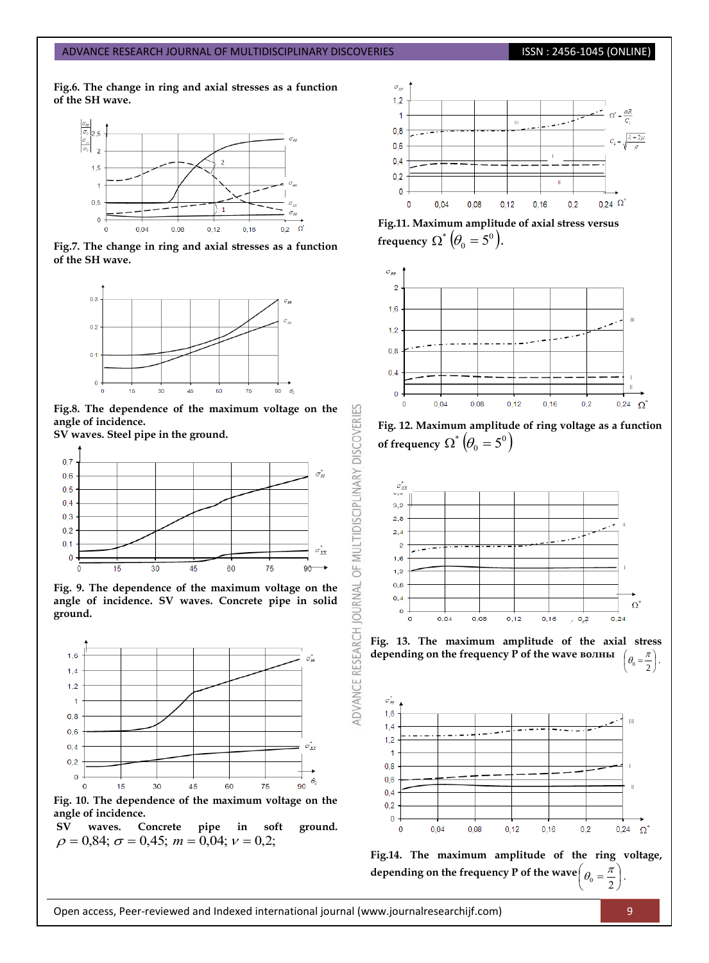### **Fig.6. The change in ring and axial stresses as a function of the SH wave.**



**Fig.7. The change in ring and axial stresses as a function of the SH wave.**



**Fig.8. The dependence of the maximum voltage on the angle of incidence.** 

53

OF MULTIDISCIPLINARY DISCOVERI

**OURNAL** 

**ADVANCE RESEARCH** 

**SV waves. Steel pipe in the ground.**



**Fig. 9. The dependence of the maximum voltage on the angle of incidence. SV waves. Concrete pipe in solid ground.**



waves. Concrete pipe in soft ground.  $\rho = 0.84$ ;  $\sigma = 0.45$ ;  $m = 0.04$ ;  $v = 0.2$ ;







**Fig. 12. Maximum amplitude of ring voltage as a function**  of frequency  $\Omega^*\left(\theta_0 = 5^0\right)$ 



**Fig. 13. The maximum amplitude of the axial stress depending on the frequency P of the wave волны**  .  $v_0 = \frac{\pi}{2}$  $\pi$  )  $\theta_0 =$ 





J